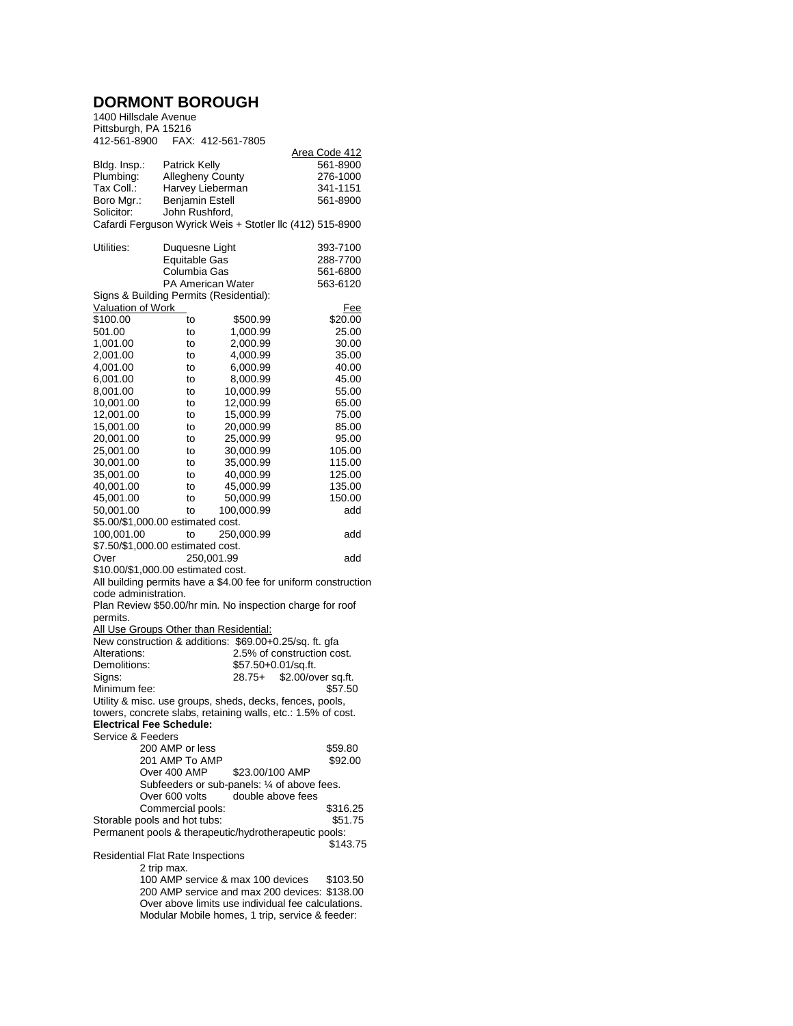## **DORMONT BOROUGH**

| 1400 Hillsdale Avenue                                                                                                    |                                         |                                                        |                                                           |  |  |  |
|--------------------------------------------------------------------------------------------------------------------------|-----------------------------------------|--------------------------------------------------------|-----------------------------------------------------------|--|--|--|
| Pittsburgh, PA 15216                                                                                                     |                                         |                                                        |                                                           |  |  |  |
| 412-561-8900                                                                                                             |                                         | FAX: 412-561-7805                                      |                                                           |  |  |  |
|                                                                                                                          |                                         |                                                        | <u> Area Code 412</u>                                     |  |  |  |
| Bldg. Insp.:                                                                                                             | <b>Patrick Kelly</b>                    |                                                        | 561-8900                                                  |  |  |  |
| Plumbing:                                                                                                                | <b>Allegheny County</b>                 |                                                        | 276-1000                                                  |  |  |  |
| Tax Coll.:                                                                                                               | Harvey Lieberman                        |                                                        | 341-1151                                                  |  |  |  |
| Boro Mgr.:                                                                                                               | <b>Benjamin Estell</b>                  |                                                        | 561-8900                                                  |  |  |  |
| Solicitor:                                                                                                               | John Rushford,                          |                                                        |                                                           |  |  |  |
|                                                                                                                          |                                         |                                                        | Cafardi Ferguson Wyrick Weis + Stotler Ilc (412) 515-8900 |  |  |  |
| Utilities:                                                                                                               | Duquesne Light                          |                                                        | 393-7100                                                  |  |  |  |
|                                                                                                                          | <b>Equitable Gas</b>                    |                                                        | 288-7700                                                  |  |  |  |
|                                                                                                                          | Columbia Gas                            |                                                        | 561-6800                                                  |  |  |  |
|                                                                                                                          | PA American Water                       |                                                        | 563-6120                                                  |  |  |  |
|                                                                                                                          | Signs & Building Permits (Residential): |                                                        |                                                           |  |  |  |
| Valuation of Work                                                                                                        |                                         |                                                        | <u>Fee</u>                                                |  |  |  |
| \$100.00                                                                                                                 | to                                      | \$500.99                                               | \$20.00                                                   |  |  |  |
| 501.00                                                                                                                   | to                                      | 1,000.99                                               | 25.00                                                     |  |  |  |
| 1,001.00                                                                                                                 | to                                      | 2,000.99                                               | 30.00                                                     |  |  |  |
| 2,001.00                                                                                                                 | to                                      | 4,000.99                                               | 35.00                                                     |  |  |  |
| 4,001.00                                                                                                                 | to                                      | 6,000.99                                               | 40.00                                                     |  |  |  |
| 6,001.00                                                                                                                 | to                                      | 8,000.99                                               | 45.00                                                     |  |  |  |
| 8,001.00                                                                                                                 | to                                      | 10,000.99                                              | 55.00                                                     |  |  |  |
| 10,001.00                                                                                                                | to                                      | 12,000.99                                              | 65.00                                                     |  |  |  |
| 12,001.00                                                                                                                | to                                      | 15,000.99                                              | 75.00                                                     |  |  |  |
| 15,001.00                                                                                                                | to                                      | 20,000.99                                              | 85.00                                                     |  |  |  |
| 20,001.00                                                                                                                | to                                      | 25,000.99                                              | 95.00                                                     |  |  |  |
| 25,001.00<br>30,001.00                                                                                                   | to                                      | 30,000.99                                              | 105.00<br>115.00                                          |  |  |  |
| 35,001.00                                                                                                                | to<br>to                                | 35,000.99<br>40,000.99                                 | 125.00                                                    |  |  |  |
| 40,001.00                                                                                                                | to                                      | 45,000.99                                              | 135.00                                                    |  |  |  |
| 45,001.00                                                                                                                | to                                      | 50,000.99                                              | 150.00                                                    |  |  |  |
| 50,001.00                                                                                                                | to                                      | 100,000.99                                             | add                                                       |  |  |  |
|                                                                                                                          | \$5.00/\$1,000.00 estimated cost.       |                                                        |                                                           |  |  |  |
| 100,001.00                                                                                                               | to                                      | 250,000.99                                             | add                                                       |  |  |  |
| \$7.50/\$1,000.00 estimated cost.                                                                                        |                                         |                                                        |                                                           |  |  |  |
| Over                                                                                                                     |                                         | 250,001.99                                             | add                                                       |  |  |  |
|                                                                                                                          | \$10.00/\$1,000.00 estimated cost.      |                                                        |                                                           |  |  |  |
| All building permits have a \$4.00 fee for uniform construction                                                          |                                         |                                                        |                                                           |  |  |  |
| code administration.                                                                                                     |                                         |                                                        |                                                           |  |  |  |
|                                                                                                                          |                                         |                                                        | Plan Review \$50.00/hr min. No inspection charge for roof |  |  |  |
| permits.                                                                                                                 |                                         |                                                        |                                                           |  |  |  |
|                                                                                                                          |                                         | All Use Groups Other than Residential:                 |                                                           |  |  |  |
|                                                                                                                          |                                         | New construction & additions: \$69.00+0.25/sq. ft. gfa |                                                           |  |  |  |
| Alterations:                                                                                                             |                                         |                                                        | 2.5% of construction cost.                                |  |  |  |
| Demolitions:<br>Signs:                                                                                                   |                                         | \$57.50+0.01/sq.ft.<br>$28.75+$                        | \$2.00/over sq.ft.                                        |  |  |  |
| Minimum fee:                                                                                                             |                                         |                                                        | \$57.50                                                   |  |  |  |
|                                                                                                                          |                                         |                                                        |                                                           |  |  |  |
| Utility & misc. use groups, sheds, decks, fences, pools,<br>towers, concrete slabs, retaining walls, etc.: 1.5% of cost. |                                         |                                                        |                                                           |  |  |  |
|                                                                                                                          | <b>Electrical Fee Schedule:</b>         |                                                        |                                                           |  |  |  |
| Service & Feeders                                                                                                        |                                         |                                                        |                                                           |  |  |  |
|                                                                                                                          | 200 AMP or less                         |                                                        | \$59.80                                                   |  |  |  |
|                                                                                                                          | 201 AMP To AMP                          |                                                        | \$92.00                                                   |  |  |  |
|                                                                                                                          | Over 400 AMP                            | \$23.00/100 AMP                                        |                                                           |  |  |  |
|                                                                                                                          |                                         | Subfeeders or sub-panels: 1/4 of above fees.           |                                                           |  |  |  |
|                                                                                                                          | Over 600 volts                          | double above fees                                      |                                                           |  |  |  |
|                                                                                                                          | Commercial pools:                       |                                                        | \$316.25                                                  |  |  |  |
|                                                                                                                          | Storable pools and hot tubs:            |                                                        | \$51.75                                                   |  |  |  |
|                                                                                                                          |                                         | Permanent pools & therapeutic/hydrotherapeutic pools:  |                                                           |  |  |  |
|                                                                                                                          |                                         |                                                        | \$143.75                                                  |  |  |  |
| <b>Residential Flat Rate Inspections</b><br>2 trip max.                                                                  |                                         |                                                        |                                                           |  |  |  |
| 100 AMP service & max 100 devices<br>\$103.50                                                                            |                                         |                                                        |                                                           |  |  |  |
| 200 AMP service and max 200 devices: \$138.00                                                                            |                                         |                                                        |                                                           |  |  |  |
| Over above limits use individual fee calculations.                                                                       |                                         |                                                        |                                                           |  |  |  |
| Modular Mobile homes, 1 trip, service & feeder:                                                                          |                                         |                                                        |                                                           |  |  |  |
|                                                                                                                          |                                         |                                                        |                                                           |  |  |  |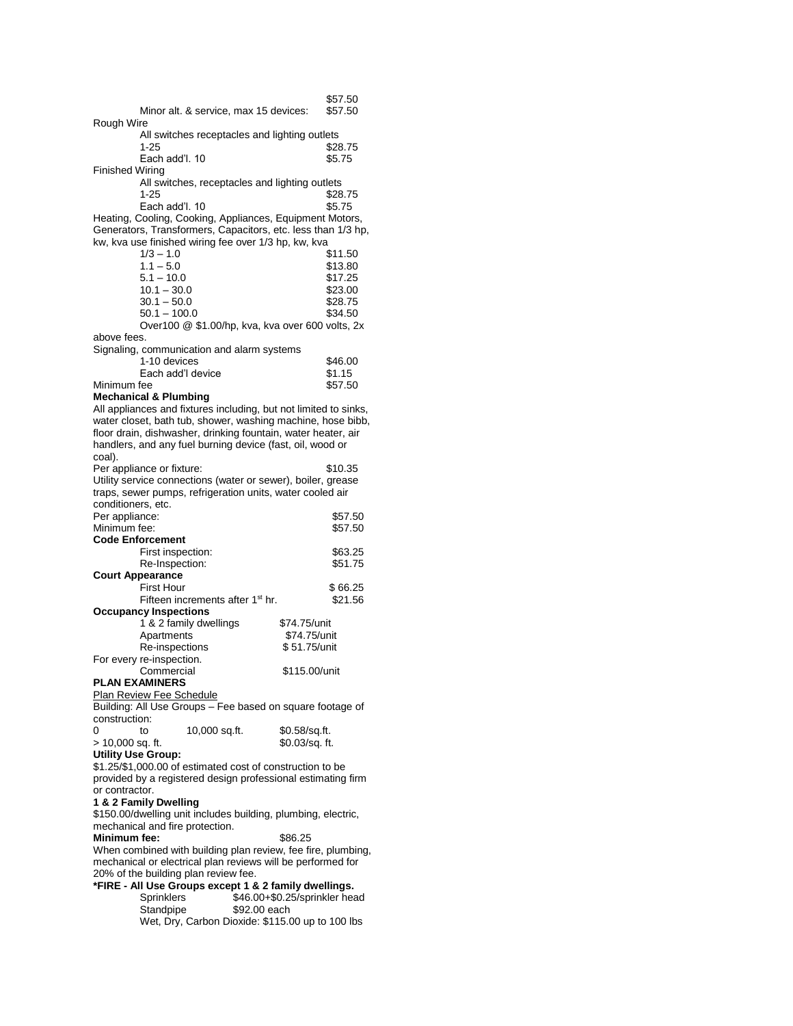|                                                                                                                                                                                                              |                                                                                                      | \$57.50<br>\$57.50            |  |  |  |
|--------------------------------------------------------------------------------------------------------------------------------------------------------------------------------------------------------------|------------------------------------------------------------------------------------------------------|-------------------------------|--|--|--|
| Rough Wire                                                                                                                                                                                                   | Minor alt. & service, max 15 devices:                                                                |                               |  |  |  |
|                                                                                                                                                                                                              | All switches receptacles and lighting outlets<br>1-25                                                | \$28.75                       |  |  |  |
|                                                                                                                                                                                                              | Each add'l, 10                                                                                       | \$5.75                        |  |  |  |
| Finished Wiring                                                                                                                                                                                              | All switches, receptacles and lighting outlets                                                       |                               |  |  |  |
|                                                                                                                                                                                                              | 1-25                                                                                                 | \$28.75                       |  |  |  |
| Each add'l. 10<br>\$5.75<br>Heating, Cooling, Cooking, Appliances, Equipment Motors,<br>Generators, Transformers, Capacitors, etc. less than 1/3 hp,<br>kw, kva use finished wiring fee over 1/3 hp, kw, kva |                                                                                                      |                               |  |  |  |
|                                                                                                                                                                                                              | $1/3 - 1.0$                                                                                          | \$11.50                       |  |  |  |
|                                                                                                                                                                                                              | $1.1 - 5.0$                                                                                          | \$13.80                       |  |  |  |
|                                                                                                                                                                                                              | $5.1 - 10.0$                                                                                         | \$17.25                       |  |  |  |
|                                                                                                                                                                                                              | $10.1 - 30.0$                                                                                        | \$23.00                       |  |  |  |
|                                                                                                                                                                                                              | $30.1 - 50.0$<br>$50.1 - 100.0$                                                                      | \$28.75<br>\$34.50            |  |  |  |
|                                                                                                                                                                                                              | Over100 @ \$1.00/hp, kva, kva over 600 volts, 2x                                                     |                               |  |  |  |
| above fees.                                                                                                                                                                                                  |                                                                                                      |                               |  |  |  |
|                                                                                                                                                                                                              | Signaling, communication and alarm systems                                                           |                               |  |  |  |
|                                                                                                                                                                                                              | 1-10 devices                                                                                         | \$46.00                       |  |  |  |
|                                                                                                                                                                                                              | Each add'l device                                                                                    | \$1.15                        |  |  |  |
| Minimum fee                                                                                                                                                                                                  |                                                                                                      | \$57.50                       |  |  |  |
|                                                                                                                                                                                                              | <b>Mechanical &amp; Plumbing</b><br>All appliances and fixtures including, but not limited to sinks, |                               |  |  |  |
|                                                                                                                                                                                                              | water closet, bath tub, shower, washing machine, hose bibb,                                          |                               |  |  |  |
|                                                                                                                                                                                                              | floor drain, dishwasher, drinking fountain, water heater, air                                        |                               |  |  |  |
|                                                                                                                                                                                                              | handlers, and any fuel burning device (fast, oil, wood or                                            |                               |  |  |  |
| coal).                                                                                                                                                                                                       |                                                                                                      |                               |  |  |  |
|                                                                                                                                                                                                              | Per appliance or fixture:                                                                            | \$10.35                       |  |  |  |
|                                                                                                                                                                                                              | Utility service connections (water or sewer), boiler, grease                                         |                               |  |  |  |
|                                                                                                                                                                                                              | traps, sewer pumps, refrigeration units, water cooled air                                            |                               |  |  |  |
| conditioners, etc.<br>Per appliance:                                                                                                                                                                         |                                                                                                      | \$57.50                       |  |  |  |
| Minimum fee:                                                                                                                                                                                                 |                                                                                                      | \$57.50                       |  |  |  |
|                                                                                                                                                                                                              | <b>Code Enforcement</b>                                                                              |                               |  |  |  |
|                                                                                                                                                                                                              | First inspection:                                                                                    | \$63.25                       |  |  |  |
|                                                                                                                                                                                                              | Re-Inspection:                                                                                       | \$51.75                       |  |  |  |
| <b>Court Appearance</b>                                                                                                                                                                                      |                                                                                                      |                               |  |  |  |
|                                                                                                                                                                                                              | <b>First Hour</b>                                                                                    | \$66.25                       |  |  |  |
|                                                                                                                                                                                                              | Fifteen increments after 1 <sup>st</sup> hr.<br><b>Occupancy Inspections</b>                         | \$21.56                       |  |  |  |
|                                                                                                                                                                                                              | 1 & 2 family dwellings                                                                               | \$74.75/unit                  |  |  |  |
|                                                                                                                                                                                                              | Apartments                                                                                           | \$74.75/unit                  |  |  |  |
|                                                                                                                                                                                                              | Re-inspections                                                                                       | \$ 51.75/unit                 |  |  |  |
|                                                                                                                                                                                                              | For every re-inspection.                                                                             |                               |  |  |  |
|                                                                                                                                                                                                              | Commercial                                                                                           | \$115.00/unit                 |  |  |  |
|                                                                                                                                                                                                              | <b>PLAN EXAMINERS</b>                                                                                |                               |  |  |  |
|                                                                                                                                                                                                              | <b>Plan Review Fee Schedule</b><br>Building: All Use Groups - Fee based on square footage of         |                               |  |  |  |
| construction:                                                                                                                                                                                                |                                                                                                      |                               |  |  |  |
| 0                                                                                                                                                                                                            | 10,000 sq.ft.<br>to                                                                                  | \$0.58/sq.ft.                 |  |  |  |
| > 10,000 sq. ft.                                                                                                                                                                                             |                                                                                                      | \$0.03/sq. ft.                |  |  |  |
| <b>Utility Use Group:</b>                                                                                                                                                                                    |                                                                                                      |                               |  |  |  |
|                                                                                                                                                                                                              | \$1.25/\$1,000.00 of estimated cost of construction to be                                            |                               |  |  |  |
|                                                                                                                                                                                                              | provided by a registered design professional estimating firm                                         |                               |  |  |  |
| or contractor.                                                                                                                                                                                               |                                                                                                      |                               |  |  |  |
|                                                                                                                                                                                                              | 1 & 2 Family Dwelling<br>\$150.00/dwelling unit includes building, plumbing, electric,               |                               |  |  |  |
|                                                                                                                                                                                                              | mechanical and fire protection.                                                                      |                               |  |  |  |
| Minimum fee:                                                                                                                                                                                                 |                                                                                                      | \$86.25                       |  |  |  |
| When combined with building plan review, fee fire, plumbing,                                                                                                                                                 |                                                                                                      |                               |  |  |  |
| mechanical or electrical plan reviews will be performed for                                                                                                                                                  |                                                                                                      |                               |  |  |  |
|                                                                                                                                                                                                              | 20% of the building plan review fee.                                                                 |                               |  |  |  |
|                                                                                                                                                                                                              | *FIRE - All Use Groups except 1 & 2 family dwellings.                                                |                               |  |  |  |
|                                                                                                                                                                                                              | Sprinklers<br>\$92.00 each                                                                           | \$46.00+\$0.25/sprinkler head |  |  |  |
|                                                                                                                                                                                                              | Standpipe<br>Wet, Dry, Carbon Dioxide: \$115.00 up to 100 lbs                                        |                               |  |  |  |
|                                                                                                                                                                                                              |                                                                                                      |                               |  |  |  |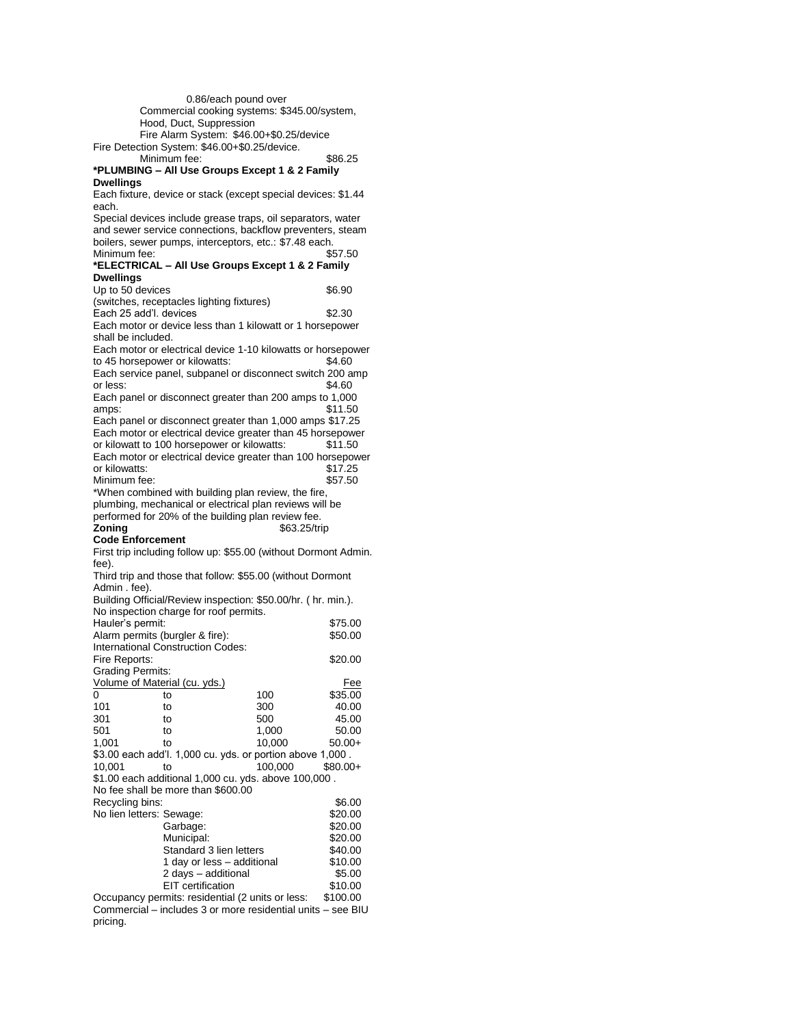0.86/each pound over Commercial cooking systems: \$345.00/system, Hood, Duct, Suppression Fire Alarm System: \$46.00+\$0.25/device Fire Detection System: \$46.00+\$0.25/device. Minimum fee: \$86.25 **\*PLUMBING – All Use Groups Except 1 & 2 Family Dwellings** Each fixture, device or stack (except special devices: \$1.44 each. Special devices include grease traps, oil separators, water and sewer service connections, backflow preventers, steam boilers, sewer pumps, interceptors, etc.: \$7.48 each.<br>Minimum fee: \$57.50 Minimum fee: **\*ELECTRICAL – All Use Groups Except 1 & 2 Family Dwellings** Up to 50 devices \$6.90 (switches, receptacles lighting fixtures) Each 25 add'l. devices \$2.30 Each motor or device less than 1 kilowatt or 1 horsepower shall be included. Each motor or electrical device 1-10 kilowatts or horsepower to 45 horsepower or kilowatts: \$4.60 Each service panel, subpanel or disconnect switch 200 amp or less: \$4.60 Each panel or disconnect greater than 200 amps to 1,000 amps: \$11.50 Each panel or disconnect greater than 1,000 amps \$17.25 Each motor or electrical device greater than 45 horsepower or kilowatt to 100 horsepower or kilowatts: \$11.50 Each motor or electrical device greater than 100 horsepower or kilowatts: \$17.25 Minimum fee: \$57.50 \*When combined with building plan review, the fire, plumbing, mechanical or electrical plan reviews will be performed for 20% of the building plan review fee.<br> **Zoning** \$63.25/tri **Zoning** \$63.25/trip **Code Enforcement** First trip including follow up: \$55.00 (without Dormont Admin. fee). Third trip and those that follow: \$55.00 (without Dormont Admin . fee). Building Official/Review inspection: \$50.00/hr. ( hr. min.). No inspection charge for roof permits. Hauler's permit: \$75.00 Alarm permits (burgler & fire): \$50.00 International Construction Codes: Fire Reports:  $$20.00$ Grading Permits: Volume of Material (cu. yds.) Fee 0 to 100 \$35.00 101 to 300 40.00 301 to 500 45.00 501 to 1,000 50.00 1,001 to 10,000 50.00+ \$3.00 each add'l. 1,000 cu. yds. or portion above 1,000 . 10,001 to 100,000 \$80.00+ \$1.00 each additional 1,000 cu. yds. above 100,000 . No fee shall be more than \$600.00 Recycling bins: \$6.00 No lien letters: Sewage: \$20.00 Garbage: \$20.00<br>Municipal: \$20.00 Municipal: Standard 3 lien letters \$40.00<br>1 day or less – additional \$10.00 1 day or less - additional 2 days – additional \$5.00<br>EIT certification \$10.00 EIT certification Occupancy permits: residential (2 units or less: \$100.00

Commercial – includes 3 or more residential units – see BIU pricing.